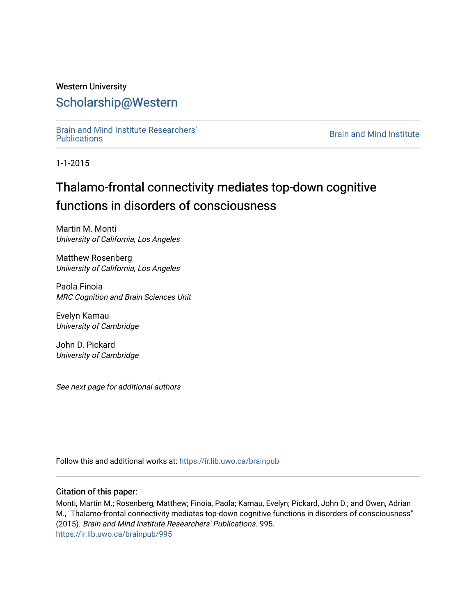# Western University [Scholarship@Western](https://ir.lib.uwo.ca/)

[Brain and Mind Institute Researchers'](https://ir.lib.uwo.ca/brainpub) 

**Brain and Mind Institute** 

1-1-2015

# Thalamo-frontal connectivity mediates top-down cognitive functions in disorders of consciousness

Martin M. Monti University of California, Los Angeles

Matthew Rosenberg University of California, Los Angeles

Paola Finoia MRC Cognition and Brain Sciences Unit

Evelyn Kamau University of Cambridge

John D. Pickard University of Cambridge

See next page for additional authors

Follow this and additional works at: [https://ir.lib.uwo.ca/brainpub](https://ir.lib.uwo.ca/brainpub?utm_source=ir.lib.uwo.ca%2Fbrainpub%2F995&utm_medium=PDF&utm_campaign=PDFCoverPages)

## Citation of this paper:

Monti, Martin M.; Rosenberg, Matthew; Finoia, Paola; Kamau, Evelyn; Pickard, John D.; and Owen, Adrian M., "Thalamo-frontal connectivity mediates top-down cognitive functions in disorders of consciousness" (2015). Brain and Mind Institute Researchers' Publications. 995. [https://ir.lib.uwo.ca/brainpub/995](https://ir.lib.uwo.ca/brainpub/995?utm_source=ir.lib.uwo.ca%2Fbrainpub%2F995&utm_medium=PDF&utm_campaign=PDFCoverPages)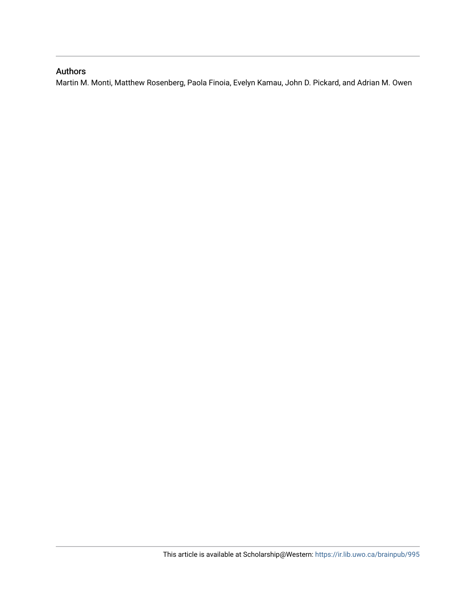# Authors

Martin M. Monti, Matthew Rosenberg, Paola Finoia, Evelyn Kamau, John D. Pickard, and Adrian M. Owen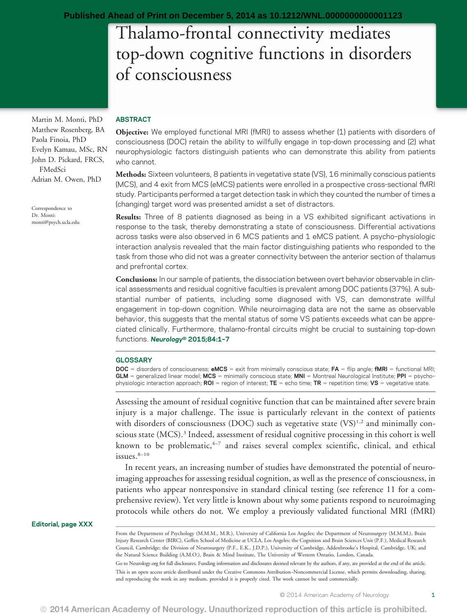# Thalamo-frontal connectivity mediates top-down cognitive functions in disorders of consciousness

Martin M. Monti, PhD Matthew Rosenberg, BA Paola Finoia, PhD Evelyn Kamau, MSc, RN John D. Pickard, FRCS, FMedSci Adrian M. Owen, PhD

Correspondence to Dr. Monti: [monti@psych.ucla.edu](mailto:monti@psych.ucla.edu)

#### ABSTRACT

Objective: We employed functional MRI (fMRI) to assess whether (1) patients with disorders of consciousness (DOC) retain the ability to willfully engage in top-down processing and (2) what neurophysiologic factors distinguish patients who can demonstrate this ability from patients who cannot.

Methods: Sixteen volunteers, 8 patients in vegetative state (VS), 16 minimally conscious patients (MCS), and 4 exit from MCS (eMCS) patients were enrolled in a prospective cross-sectional fMRI study. Participants performed a target detection task in which they counted the number of times a (changing) target word was presented amidst a set of distractors.

Results: Three of 8 patients diagnosed as being in a VS exhibited significant activations in response to the task, thereby demonstrating a state of consciousness. Differential activations across tasks were also observed in 6 MCS patients and 1 eMCS patient. A psycho–physiologic interaction analysis revealed that the main factor distinguishing patients who responded to the task from those who did not was a greater connectivity between the anterior section of thalamus and prefrontal cortex.

Conclusions: In our sample of patients, the dissociation between overt behavior observable in clinical assessments and residual cognitive faculties is prevalent among DOC patients (37%). A substantial number of patients, including some diagnosed with VS, can demonstrate willful engagement in top-down cognition. While neuroimaging data are not the same as observable behavior, this suggests that the mental status of some VS patients exceeds what can be appreciated clinically. Furthermore, thalamo-frontal circuits might be crucial to sustaining top-down functions. Neurology® 2015;84:1–<sup>7</sup>

#### **GLOSSARY**

DOC = disorders of consciousness; eMCS = exit from minimally conscious state; FA = flip angle; fMRI = functional MRI;  $GLM$  = generalized linear model;  $MCS$  = minimally conscious state;  $MNI$  = Montreal Neurological Institute; PPI = psychophysiologic interaction approach; ROI = region of interest; TE = echo time; TR = repetition time; VS = vegetative state.

Assessing the amount of residual cognitive function that can be maintained after severe brain injury is a major challenge. The issue is particularly relevant in the context of patients with disorders of consciousness (DOC) such as vegetative state  $(VS)^{1,2}$  and minimally conscious state (MCS).<sup>3</sup> Indeed, assessment of residual cognitive processing in this cohort is well known to be problematic,  $4-7$  and raises several complex scientific, clinical, and ethical issues. $8-10$ 

In recent years, an increasing number of studies have demonstrated the potential of neuroimaging approaches for assessing residual cognition, as well as the presence of consciousness, in patients who appear nonresponsive in standard clinical testing (see reference 11 for a comprehensive review). Yet very little is known about why some patients respond to neuroimaging protocols while others do not. We employ a previously validated functional MRI (fMRI)

Editorial, page XXX

From the Department of Psychology (M.M.M., M.R.), University of California Los Angeles; the Department of Neurosurgery (M.M.M.), Brain Injury Research Center (BIRC), Geffen School of Medicine at UCLA, Los Angeles; the Cognition and Brain Sciences Unit (P.F.), Medical Research Council, Cambridge; the Division of Neurosurgery (P.F., E.K., J.D.P.), University of Cambridge, Addenbrooke's Hospital, Cambridge, UK; and the Natural Science Building (A.M.O.), Brain & Mind Institute, The University of Western Ontario, London, Canada.

Go to [Neurology.org](http://neurology.org/) for full disclosures. Funding information and disclosures deemed relevant by the authors, if any, are provided at the end of the article. This is an open access article distributed under the Creative Commons Attribution–Noncommercial License, which permits downloading, sharing, and reproducing the work in any medium, provided it is properly cited. The work cannot be used commercially.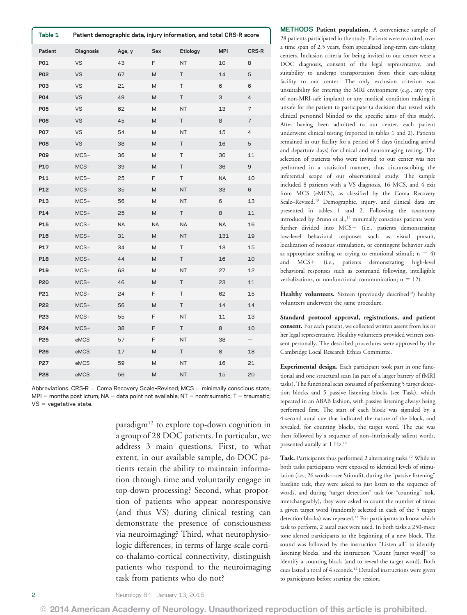| Table 1    |           | Patient demographic data, injury information, and total CRS-R score |     |           |            |                   |
|------------|-----------|---------------------------------------------------------------------|-----|-----------|------------|-------------------|
| Patient    | Diagnosis | Age, y                                                              | Sex | Etiology  | <b>MPI</b> | <b>CRS-R</b>      |
| P01        | VS        | 43                                                                  | F   | NT        | 10         | 8                 |
| P02        | <b>VS</b> | 67                                                                  | M   | T         | 14         | 5                 |
| P03        | VS        | 21                                                                  | M   | T         | 6          | 6                 |
| P04        | VS        | 49                                                                  | M   | Τ         | 3          | 4                 |
| P05        | <b>VS</b> | 62                                                                  | Μ   | NT        | 13         | 7                 |
| P06        | VS        | 45                                                                  | M   | Τ         | 8          | 7                 |
| P07        | <b>VS</b> | 54                                                                  | M   | <b>NT</b> | 15         | 4                 |
| <b>P08</b> | VS        | 38                                                                  | M   | Τ         | 16         | 5                 |
| P09        | $MCS-$    | 36                                                                  | M   | T         | 30         | 11                |
| P10        | $MCS-$    | 39                                                                  | M   | T         | 36         | 9                 |
| P11        | $MCS-$    | 25                                                                  | F   | T.        | NA         | 10                |
| P12        | $MCS-$    | 35                                                                  | M   | <b>NT</b> | 33         | 6                 |
| P13        | $MCS+$    | 56                                                                  | М   | NT        | 6          | 13                |
| P14        | $MCS+$    | 25                                                                  | M   | Τ         | 8          | 11                |
| P15        | $MCS+$    | NA                                                                  | NA  | <b>NA</b> | <b>NA</b>  | 16                |
| P16        | $MCS+$    | 31                                                                  | M   | NT        | 131        | 19                |
| P17        | $MCS+$    | 34                                                                  | M   | Τ         | 13         | 15                |
| P18        | $MCS+$    | 44                                                                  | M   | T         | 16         | 10                |
| P19        | $MCS+$    | 63                                                                  | Μ   | NT        | 27         | 12                |
| P20        | $MCS+$    | 46                                                                  | M   | T         | 23         | 11                |
| P21        | $MCS+$    | 24                                                                  | F.  | T         | 62         | 15                |
| P22        | $MCS+$    | 56                                                                  | M   | T         | 14         | 14                |
| P23        | $MCS+$    | 55                                                                  | F   | <b>NT</b> | 11         | 13                |
| P24        | $MCS+$    | 38                                                                  | F   | T         | 8          | 10                |
| P25        | eMCS      | 57                                                                  | F   | <b>NT</b> | 38         | $\qquad \qquad -$ |
| P26        | eMCS      | 17                                                                  | M   | T         | 8          | 18                |
| P27        | eMCS      | 59                                                                  | M   | <b>NT</b> | 16         | 21                |
| P28        | eMCS      | 56                                                                  | M   | NT        | 15         | 20                |

Abbreviations: CRS-R = Coma Recovery Scale-Revised; MCS = minimally conscious state;  $MPI =$  months post ictum; NA = data point not available; NT = nontraumatic; T = traumatic;  $VS = v$ egetative state.

> paradigm<sup>12</sup> to explore top-down cognition in a group of 28 DOC patients. In particular, we address 3 main questions. First, to what extent, in our available sample, do DOC patients retain the ability to maintain information through time and voluntarily engage in top-down processing? Second, what proportion of patients who appear nonresponsive (and thus VS) during clinical testing can demonstrate the presence of consciousness via neuroimaging? Third, what neurophysiologic differences, in terms of large-scale cortico-thalamo-cortical connectivity, distinguish patients who respond to the neuroimaging task from patients who do not?

METHODS Patient population. A convenience sample of 28 patients participated in the study. Patients were recruited, over a time span of 2.5 years, from specialized long-term care-taking centers. Inclusion criteria for being invited to our center were a DOC diagnosis, consent of the legal representative, and suitability to undergo transportation from their care-taking facility to our center. The only exclusion criterion was unsuitability for entering the MRI environment (e.g., any type of non-MRI-safe implant) or any medical condition making it unsafe for the patient to participate (a decision that rested with clinical personnel blinded to the specific aims of this study). After having been admitted to our center, each patient underwent clinical testing (reported in tables 1 and 2). Patients remained in our facility for a period of 5 days (including arrival and departure days) for clinical and neuroimaging testing. The selection of patients who were invited to our center was not performed in a statistical manner, thus circumscribing the inferential scope of our observational study. The sample included 8 patients with a VS diagnosis, 16 MCS, and 4 exit from MCS (eMCS), as classified by the Coma Recovery Scale–Revised.13 Demographic, injury, and clinical data are presented in tables 1 and 2. Following the taxonomy introduced by Bruno et al.,<sup>14</sup> minimally conscious patients were further divided into MCS- (i.e., patients demonstrating low-level behavioral responses such as visual pursuit, localization of noxious stimulation, or contingent behavior such as appropriate smiling or crying to emotional stimuli;  $n = 4$ ) and MCS+ (i.e., patients demonstrating high-level behavioral responses such as command following, intelligible verbalizations, or nonfunctional communication;  $n = 12$ ).

Healthy volunteers. Sixteen (previously described<sup>12</sup>) healthy volunteers underwent the same procedure.

Standard protocol approval, registrations, and patient consent. For each patient, we collected written assent from his or her legal representative. Healthy volunteers provided written consent personally. The described procedures were approved by the Cambridge Local Research Ethics Committee.

Experimental design. Each participant took part in one functional and one structural scan (as part of a larger battery of fMRI tasks). The functional scan consisted of performing 5 target detection blocks and 5 passive listening blocks (see Task), which repeated in an ABAB fashion, with passive listening always being performed first. The start of each block was signaled by a 4-second aural cue that indicated the nature of the block, and revealed, for counting blocks, the target word. The cue was then followed by a sequence of non–intrinsically salient words, presented aurally at 1 Hz.12

Task. Participants thus performed 2 alternating tasks.<sup>12</sup> While in both tasks participants were exposed to identical levels of stimulation (i.e., 26 words—see Stimuli), during the "passive listening" baseline task, they were asked to just listen to the sequence of words, and during "target detection" task (or "counting" task, interchangeably), they were asked to count the number of times a given target word (randomly selected in each of the 5 target detection blocks) was repeated.<sup>12</sup> For participants to know which task to perform, 2 aural cues were used. In both tasks a 250-msec tone alerted participants to the beginning of a new block. The sound was followed by the instruction "Listen all" to identify listening blocks, and the instruction "Count [target word]" to identify a counting block (and to reveal the target word). Both cues lasted a total of 4 seconds.<sup>12</sup> Detailed instructions were given to participants before starting the session.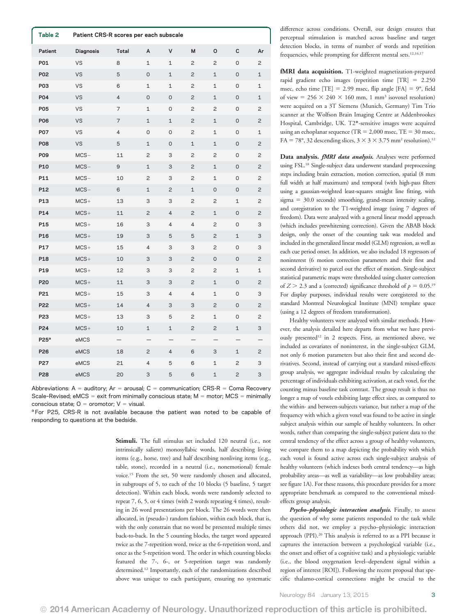| Table 2          | Patient CRS-R scores per each subscale |                   |             |                     |                |                |                     |                |
|------------------|----------------------------------------|-------------------|-------------|---------------------|----------------|----------------|---------------------|----------------|
| Patient          | <b>Diagnosis</b>                       | Total             | A           | V                   | M              | O              | $\mathbf c$         | Ar             |
| P01              | VS                                     | 8                 | $\mathbf 1$ | 1                   | 2              | 2              | 0                   | 2              |
| P02              | <b>VS</b>                              | 5                 | 0           | 1                   | 2              | $\mathbf 1$    | $\mathsf O$         | 1              |
| P03              | VS                                     | 6                 | 1           | $\mathbf 1$         | 2              | 1              | 0                   | 1              |
| P04              | VS                                     | 4                 | 0           | $\mathsf{O}\xspace$ | $\overline{c}$ | $\mathbf 1$    | $\mathsf{O}\xspace$ | 1              |
| P05              | VS                                     | 7                 | 1           | 0                   | $\overline{c}$ | 2              | 0                   | $\overline{c}$ |
| <b>P06</b>       | <b>VS</b>                              | 7                 | $\mathbf 1$ | $1\,$               | $\overline{c}$ | $\mathbf 1$    | $\mathsf{O}\xspace$ | $\mathsf{S}$   |
| P07              | VS                                     | 4                 | 0           | 0                   | 2              | $\mathbf 1$    | 0                   | 1              |
| <b>P08</b>       | VS                                     | $\mathbf 5$       | 1           | $\mathsf{O}$        | 1              | $\mathbf 1$    | $\mathsf{O}$        | $\mathsf{S}$   |
| P09              | $MCS-$                                 | 11                | 2           | 3                   | 2              | 2              | 0                   | $\overline{c}$ |
| P10              | $MCS-$                                 | 9                 | $\mathbf 1$ | 3                   | 2              | 1              | 0                   | 2              |
| P11              | $MCS-$                                 | 10                | 2           | 3                   | $\overline{c}$ | $\mathbf 1$    | $\mathsf{O}\xspace$ | $\overline{c}$ |
| P12              | $MCS-$                                 | 6                 | $\mathbf 1$ | 2                   | 1              | 0              | $\mathsf{O}$        | $\mathsf{S}$   |
| P13              | $MCS+$                                 | 13                | 3           | 3                   | $\overline{c}$ | $\overline{c}$ | $\mathbf 1$         | $\overline{c}$ |
| P14              | $MCS+$                                 | 11                | 2           | 4                   | 2              | 1              | 0                   | $\mathsf{S}$   |
| P15              | $MCS+$                                 | 16                | 3           | 4                   | 4              | $\overline{c}$ | 0                   | 3              |
| P16              | $MCS+$                                 | 19                | 3           | 5                   | 5              | 2              | 1                   | 3              |
| P17              | $MCS+$                                 | 15                | 4           | 3                   | З              | $\overline{c}$ | 0                   | 3              |
| P18              | $MCS+$                                 | 10                | 3           | 3                   | $\overline{c}$ | $\mathsf{O}$   | $\mathsf{O}\xspace$ | $\mathsf{S}$   |
| P19              | $MCS+$                                 | 12                | 3           | 3                   | 2              | 2              | 1                   | 1              |
| P20              | $MCS+$                                 | 11                | 3           | 3                   | $\overline{c}$ | $\mathbf 1$    | $\mathsf{O}$        | $\mathsf{S}$   |
| P21              | $MCS+$                                 | 15                | 3           | 4                   | 4              | $\mathbf 1$    | 0                   | 3              |
| P22              | $MCS+$                                 | 14                | 4           | 3                   | 3              | $\overline{c}$ | 0                   | $\mathsf{S}$   |
| P <sub>23</sub>  | $MCS+$                                 | 13                | 3           | 5                   | 2              | $\mathbf 1$    | 0                   | 2              |
| P24              | $MCS+$                                 | 10                | $\mathbf 1$ | $\mathbf{1}$        | $\overline{c}$ | $\overline{c}$ | $\mathbf{1}$        | 3              |
| P25 <sup>a</sup> | eMCS                                   | $\qquad \qquad -$ |             |                     | —              | —              |                     |                |
| P26              | eMCS                                   | 18                | 2           | 4                   | 6              | 3              | 1                   | $\mathsf{S}$   |
| P27              | eMCS                                   | 21                | 4           | 5                   | 6              | 1              | 2                   | З              |
| P28              | eMCS                                   | 20                | 3           | 5                   | 6              | $\mathbf 1$    | $\mathsf{S}$        | 3              |

Abbreviations:  $A =$  auditory; Ar = arousal; C = communication; CRS-R = Coma Recovery Scale-Revised; eMCS = exit from minimally conscious state;  $M =$  motor; MCS = minimally conscious state;  $0 =$  oromotor;  $V =$  visual.

<sup>a</sup> For P25, CRS-R is not available because the patient was noted to be capable of responding to questions at the bedside.

> Stimuli. The full stimulus set included 120 neutral (i.e., not intrinsically salient) monosyllabic words, half describing living items (e.g., horse, tree) and half describing nonliving items (e.g., table, stone), recorded in a neutral (i.e., nonemotional) female voice.15 From the set, 50 were randomly chosen and allocated, in subgroups of 5, to each of the 10 blocks (5 baseline, 5 target detection). Within each block, words were randomly selected to repeat 7, 6, 5, or 4 times (with 2 words repeating 4 times), resulting in 26 word presentations per block. The 26 words were then allocated, in (pseudo-) random fashion, within each block, that is, with the only constrain that no word be presented multiple times back-to-back. In the 5 counting blocks, the target word appeared twice as the 7-repetition word, twice as the 6-repetition word, and once as the 5-repetition word. The order in which counting blocks featured the 7-, 6-, or 5-repetition target was randomly determined.<sup>12</sup> Importantly, each of the randomizations described above was unique to each participant, ensuring no systematic

difference across conditions. Overall, our design ensures that perceptual stimulation is matched across baseline and target detection blocks, in terms of number of words and repetition frequencies, while prompting for different mental sets.<sup>12,16,17</sup>

fMRI data acquisition. T1-weighted magnetization-prepared rapid gradient echo images (repetition time  $[TR] = 2.250$ msec, echo time  $[TE] = 2.99$  msec, flip angle  $[FA] = 9^{\circ}$ , field of view =  $256 \times 240 \times 160$  mm, 1 mm<sup>3</sup> isovoxel resolution) were acquired on a 3T Siemens (Munich, Germany) Tim Trio scanner at the Wolfson Brain Imaging Centre at Addenbrookes Hospital, Cambridge, UK. T2\*-sensitive images were acquired using an echoplanar sequence (TR =  $2,000$  msec, TE =  $30$  msec, FA = 78°, 32 descending slices,  $3 \times 3 \times 3.75$  mm<sup>2</sup> resolution).<sup>12</sup>

Data analysis. fMRI data analysis. Analyses were performed using FSL.18 Single-subject data underwent standard preprocessing steps including brain extraction, motion correction, spatial (8 mm full width at half maximum) and temporal (with high-pass filters using a gaussian-weighted least-squares straight line fitting, with  $sigma = 30.0$  seconds) smoothing, grand-mean intensity scaling, and coregistration to the T1-weighted image (using 7 degrees of freedom). Data were analyzed with a general linear model approach (which includes prewhitening correction). Given the ABAB block design, only the onset of the counting task was modeled and included in the generalized linear model (GLM) regression, as well as each cue period onset. In addition, we also included 18 regressors of noninterest (6 motion correction parameters and their first and second derivative) to parcel out the effect of motion. Single-subject statistical parametric maps were thresholded using cluster correction of  $Z > 2.3$  and a (corrected) significance threshold of  $p = 0.05$ .<sup>19</sup> For display purposes, individual results were coregistered to the standard Montreal Neurological Institute (MNI) template space (using a 12 degrees of freedom transformation).

Healthy volunteers were analyzed with similar methods. However, the analysis detailed here departs from what we have previously presented<sup>12</sup> in 2 respects. First, as mentioned above, we included as covariates of noninterest, in the single-subject GLM, not only 6 motion parameters but also their first and second derivatives. Second, instead of carrying out a standard mixed-effects group analysis, we aggregate individual results by calculating the percentage of individuals exhibiting activation, at each voxel, for the counting minus baseline task contrast. The group result is thus no longer a map of voxels exhibiting large effect sizes, as compared to the within- and between-subjects variance, but rather a map of the frequency with which a given voxel was found to be active in single subject analysis within our sample of healthy volunteers. In other words, rather than comparing the single-subject patient data to the central tendency of the effect across a group of healthy volunteers, we compare them to a map depicting the probability with which each voxel is found active across each single-subject analysis of healthy volunteers (which indexes both central tendency—as high probability areas—as well as variability—as low probability areas; see figure 1A). For these reasons, this procedure provides for a more appropriate benchmark as compared to the conventional mixedeffects group analysis.

Psycho-physiologic interaction analysis. Finally, to assess the question of why some patients responded to the task while others did not, we employ a psycho–physiologic interaction approach (PPI).20 This analysis is referred to as a PPI because it captures the interaction between a psychological variable (i.e., the onset and offset of a cognitive task) and a physiologic variable (i.e., the blood oxygenation level–dependent signal within a region of interest [ROI]). Following the recent proposal that specific thalamo-cortical connections might be crucial to the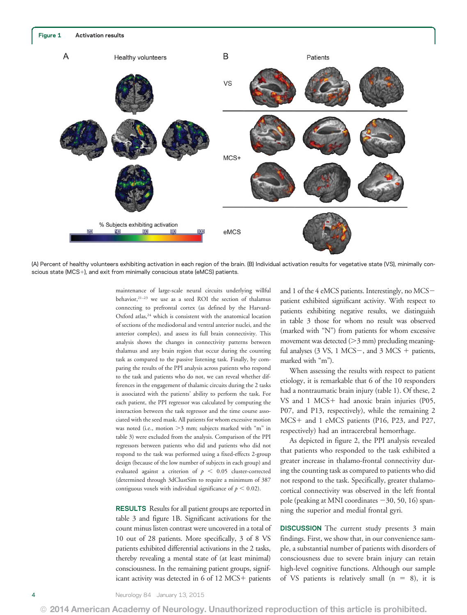

(A) Percent of healthy volunteers exhibiting activation in each region of the brain. (B) Individual activation results for vegetative state (VS), minimally conscious state (MCS+), and exit from minimally conscious state (eMCS) patients.

maintenance of large-scale neural circuits underlying willful behavior,21–<sup>23</sup> we use as a seed ROI the section of thalamus connecting to prefrontal cortex (as defined by the Harvard-Oxford atlas,<sup>24</sup> which is consistent with the anatomical location of sections of the mediodorsal and ventral anterior nuclei, and the anterior complex), and assess its full brain connectivity. This analysis shows the changes in connectivity patterns between thalamus and any brain region that occur during the counting task as compared to the passive listening task. Finally, by comparing the results of the PPI analysis across patients who respond to the task and patients who do not, we can reveal whether differences in the engagement of thalamic circuits during the 2 tasks is associated with the patients' ability to perform the task. For each patient, the PPI regressor was calculated by computing the interaction between the task regressor and the time course associated with the seed mask. All patients for whom excessive motion was noted (i.e., motion  $>3$  mm; subjects marked with "m" in table 3) were excluded from the analysis. Comparison of the PPI regressors between patients who did and patients who did not respond to the task was performed using a fixed-effects 2-group design (because of the low number of subjects in each group) and evaluated against a criterion of  $p < 0.05$  cluster-corrected (determined through 3dClustSim to require a minimum of 387 contiguous voxels with individual significance of  $p < 0.02$ ).

RESULTS Results for all patient groups are reported in table 3 and figure 1B. Significant activations for the count minus listen contrast were uncovered in a total of 10 out of 28 patients. More specifically, 3 of 8 VS patients exhibited differential activations in the 2 tasks, thereby revealing a mental state of (at least minimal) consciousness. In the remaining patient groups, significant activity was detected in  $6$  of  $12$  MCS+ patients

and 1 of the 4 eMCS patients. Interestingly, no MCSpatient exhibited significant activity. With respect to patients exhibiting negative results, we distinguish in table 3 those for whom no result was observed (marked with "N") from patients for whom excessive movement was detected  $(>3$  mm) precluding meaningful analyses  $(3 \text{ VS}, 1 \text{ MCS}$ , and  $3 \text{ MCS}$  + patients, marked with "m").

When assessing the results with respect to patient etiology, it is remarkable that 6 of the 10 responders had a nontraumatic brain injury (table 1). Of these, 2 VS and  $1$  MCS+ had anoxic brain injuries (P05, P07, and P13, respectively), while the remaining 2 MCS+ and 1 eMCS patients (P16, P23, and P27, respectively) had an intracerebral hemorrhage.

As depicted in figure 2, the PPI analysis revealed that patients who responded to the task exhibited a greater increase in thalamo-frontal connectivity during the counting task as compared to patients who did not respond to the task. Specifically, greater thalamocortical connectivity was observed in the left frontal pole (peaking at MNI coordinates  $-30$ , 50, 16) spanning the superior and medial frontal gyri.

DISCUSSION The current study presents 3 main findings. First, we show that, in our convenience sample, a substantial number of patients with disorders of consciousness due to severe brain injury can retain high-level cognitive functions. Although our sample of VS patients is relatively small  $(n = 8)$ , it is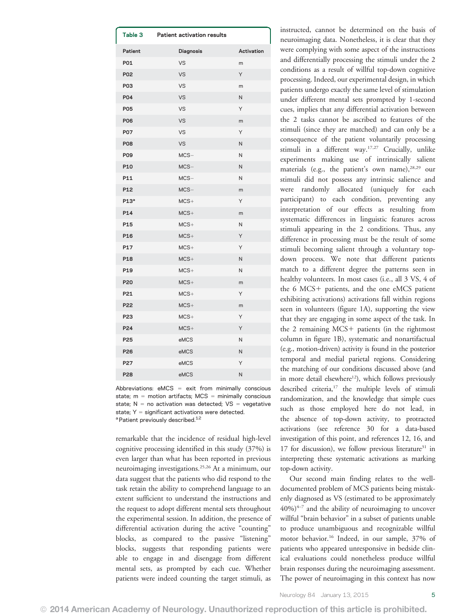| Table 3          | <b>Patient activation results</b> |            |
|------------------|-----------------------------------|------------|
| Patient          | Diagnosis                         | Activation |
| P01              | VS                                | m          |
| <b>P02</b>       | <b>VS</b>                         | Υ          |
| P <sub>03</sub>  | VS                                | m          |
| <b>PO4</b>       | <b>VS</b>                         | N          |
| <b>P05</b>       | VS                                | Υ          |
| <b>P06</b>       | <b>VS</b>                         | m          |
| <b>P07</b>       | VS                                | Y          |
| <b>P08</b>       | VS                                | N          |
| <b>P09</b>       | $MCS-$                            | N          |
| P10              | $MCS -$                           | N          |
| P11              | $MCS -$                           | N          |
| P <sub>12</sub>  | $MCS-$                            | m          |
| P13 <sup>a</sup> | $MCS+$                            | Y          |
| P14              | $MCS+$                            | m          |
| P15              | $MCS+$                            | N          |
| P <sub>16</sub>  | $MCS+$                            | Υ          |
| P17              | $MCS+$                            | Υ          |
| P18              | $MCS+$                            | N          |
| P19              | $MCS+$                            | N          |
| P20              | $MCS+$                            | m          |
| P21              | $MCS+$                            | Υ          |
| P22              | $MCS+$                            | m          |
| P <sub>23</sub>  | $MCS+$                            | Υ          |
| P24              | $MCS+$                            | Υ          |
| P <sub>25</sub>  | eMCS                              | N          |
| P26              | eMCS                              | N          |
| P27              | eMCS                              | Υ          |
| P28              | eMCS                              | N          |

Abbreviations:  $eMCS = exit$  from minimally conscious state;  $m =$  motion artifacts; MCS = minimally conscious state;  $N = no$  activation was detected;  $VS = vegetative$ state;  $Y =$  significant activations were detected. <sup>a</sup> Patient previously described.<sup>12</sup>

remarkable that the incidence of residual high-level cognitive processing identified in this study (37%) is even larger than what has been reported in previous neuroimaging investigations.25,26 At a minimum, our data suggest that the patients who did respond to the task retain the ability to comprehend language to an extent sufficient to understand the instructions and the request to adopt different mental sets throughout the experimental session. In addition, the presence of differential activation during the active "counting" blocks, as compared to the passive "listening" blocks, suggests that responding patients were able to engage in and disengage from different mental sets, as prompted by each cue. Whether patients were indeed counting the target stimuli, as instructed, cannot be determined on the basis of neuroimaging data. Nonetheless, it is clear that they were complying with some aspect of the instructions and differentially processing the stimuli under the 2 conditions as a result of willful top-down cognitive processing. Indeed, our experimental design, in which patients undergo exactly the same level of stimulation under different mental sets prompted by 1-second cues, implies that any differential activation between the 2 tasks cannot be ascribed to features of the stimuli (since they are matched) and can only be a consequence of the patient voluntarily processing stimuli in a different way.17,27 Crucially, unlike experiments making use of intrinsically salient materials (e.g., the patient's own name),<sup>28,29</sup> our stimuli did not possess any intrinsic salience and were randomly allocated (uniquely for each participant) to each condition, preventing any interpretation of our effects as resulting from systematic differences in linguistic features across stimuli appearing in the 2 conditions. Thus, any difference in processing must be the result of some stimuli becoming salient through a voluntary topdown process. We note that different patients match to a different degree the patterns seen in healthy volunteers. In most cases (i.e., all 3 VS, 4 of the 6 MCS+ patients, and the one eMCS patient exhibiting activations) activations fall within regions seen in volunteers (figure 1A), supporting the view that they are engaging in some aspect of the task. In the 2 remaining  $MCS$ + patients (in the rightmost column in figure 1B), systematic and nonartifactual (e.g., motion-driven) activity is found in the posterior temporal and medial parietal regions. Considering the matching of our conditions discussed above (and in more detail elsewhere<sup>12</sup>), which follows previously described criteria,<sup>17</sup> the multiple levels of stimuli randomization, and the knowledge that simple cues such as those employed here do not lead, in the absence of top-down activity, to protracted activations (see reference 30 for a data-based investigation of this point, and references 12, 16, and 17 for discussion), we follow previous literature $31$  in interpreting these systematic activations as marking top-down activity.

Our second main finding relates to the welldocumented problem of MCS patients being mistakenly diagnosed as VS (estimated to be approximately  $40\%)^{4-7}$  and the ability of neuroimaging to uncover willful "brain behavior" in a subset of patients unable to produce unambiguous and recognizable willful motor behavior.16 Indeed, in our sample, 37% of patients who appeared unresponsive in bedside clinical evaluations could nonetheless produce willful brain responses during the neuroimaging assessment. The power of neuroimaging in this context has now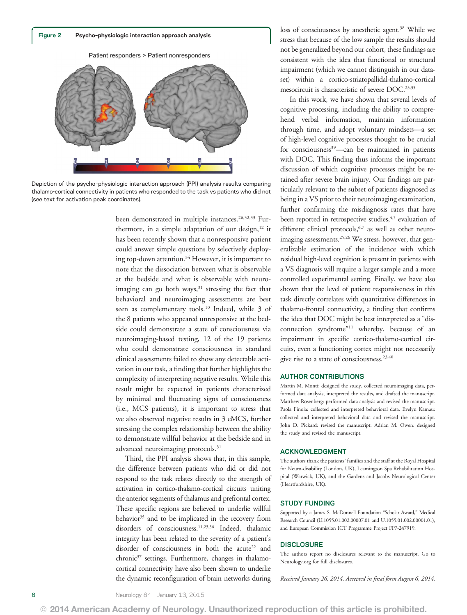

Depiction of the psycho–physiologic interaction approach (PPI) analysis results comparing thalamo-cortical connectivity in patients who responded to the task vs patients who did not (see text for activation peak coordinates).

been demonstrated in multiple instances.<sup>26,32,33</sup> Furthermore, in a simple adaptation of our design, $12$  it has been recently shown that a nonresponsive patient could answer simple questions by selectively deploying top-down attention.<sup>34</sup> However, it is important to note that the dissociation between what is observable at the bedside and what is observable with neuroimaging can go both ways,<sup>31</sup> stressing the fact that behavioral and neuroimaging assessments are best seen as complementary tools.10 Indeed, while 3 of the 8 patients who appeared unresponsive at the bedside could demonstrate a state of consciousness via neuroimaging-based testing, 12 of the 19 patients who could demonstrate consciousness in standard clinical assessments failed to show any detectable activation in our task, a finding that further highlights the complexity of interpreting negative results. While this result might be expected in patients characterized by minimal and fluctuating signs of consciousness (i.e., MCS patients), it is important to stress that we also observed negative results in 3 eMCS, further stressing the complex relationship between the ability to demonstrate willful behavior at the bedside and in advanced neuroimaging protocols.<sup>31</sup>

Third, the PPI analysis shows that, in this sample, the difference between patients who did or did not respond to the task relates directly to the strength of activation in cortico-thalamo-cortical circuits uniting the anterior segments of thalamus and prefrontal cortex. These specific regions are believed to underlie willful behavior<sup>35</sup> and to be implicated in the recovery from disorders of consciousness.11,23,36 Indeed, thalamic integrity has been related to the severity of a patient's disorder of consciousness in both the acute<sup>22</sup> and chronic<sup>37</sup> settings. Furthermore, changes in thalamocortical connectivity have also been shown to underlie the dynamic reconfiguration of brain networks during

loss of consciousness by anesthetic agent.<sup>38</sup> While we stress that because of the low sample the results should not be generalized beyond our cohort, these findings are consistent with the idea that functional or structural impairment (which we cannot distinguish in our dataset) within a cortico-striatopallidal-thalamo-cortical mesocircuit is characteristic of severe DOC.<sup>23,35</sup>

In this work, we have shown that several levels of cognitive processing, including the ability to comprehend verbal information, maintain information through time, and adopt voluntary mindsets—a set of high-level cognitive processes thought to be crucial for consciousness<sup>39</sup>—can be maintained in patients with DOC. This finding thus informs the important discussion of which cognitive processes might be retained after severe brain injury. Our findings are particularly relevant to the subset of patients diagnosed as being in a VS prior to their neuroimaging examination, further confirming the misdiagnosis rates that have been reported in retrospective studies,<sup>4,5</sup> evaluation of different clinical protocols,<sup>6,7</sup> as well as other neuroimaging assessments.<sup>25,26</sup> We stress, however, that generalizable estimation of the incidence with which residual high-level cognition is present in patients with a VS diagnosis will require a larger sample and a more controlled experimental setting. Finally, we have also shown that the level of patient responsiveness in this task directly correlates with quantitative differences in thalamo-frontal connectivity, a finding that confirms the idea that DOC might be best interpreted as a "disconnection syndrome"<sup>11</sup> whereby, because of an impairment in specific cortico-thalamo-cortical circuits, even a functioning cortex might not necessarily give rise to a state of consciousness.<sup>23,40</sup>

#### AUTHOR CONTRIBUTIONS

Martin M. Monti: designed the study, collected neuroimaging data, performed data analysis, interpreted the results, and drafted the manuscript. Matthew Rosenberg: performed data analysis and revised the manuscript. Paola Finoia: collected and interpreted behavioral data. Evelyn Kamau: collected and interpreted behavioral data and revised the manuscript. John D. Pickard: revised the manuscript. Adrian M. Owen: designed the study and revised the manuscript.

#### ACKNOWLEDGMENT

The authors thank the patients' families and the staff at the Royal Hospital for Neuro-disability (London, UK), Leamington Spa Rehabilitation Hospital (Warwick, UK), and the Gardens and Jacobs Neurological Center (Heartfordshire, UK).

#### STUDY FUNDING

Supported by a James S. McDonnell Foundation "Scholar Award," Medical Research Council (U.1055.01.002.00007.01 and U.1055.01.002.00001.01), and European Commission ICT Programme Project FP7-247919.

#### **DISCLOSURE**

The authors report no disclosures relevant to the manuscript. Go to [Neurology.org](http://neurology.org/) for full disclosures.

Received January 26, 2014. Accepted in final form August 6, 2014.

© 2014 American Academy of Neurology. Unauthorized reproduction of this article is prohibited.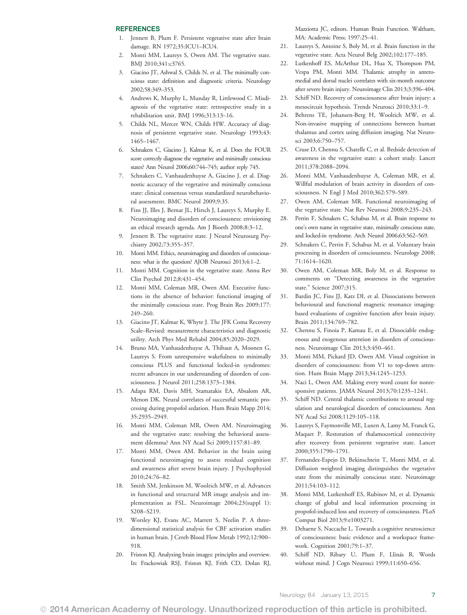#### REFERENCES

- 1. Jennett B, Plum F. Persistent vegetative state after brain damage. RN 1972;35:ICU1–ICU4.
- Monti MM, Laureys S, Owen AM. The vegetative state. BMJ 2010;341:c3765.
- 3. Giacino JT, Ashwal S, Childs N, et al. The minimally conscious state: definition and diagnostic criteria. Neurology 2002;58:349–353.
- 4. Andrews K, Murphy L, Munday R, Littlewood C. Misdiagnosis of the vegetative state: retrospective study in a rehabilitation unit. BMJ 1996;313:13–16.
- 5. Childs NL, Mercer WN, Childs HW. Accuracy of diagnosis of persistent vegetative state. Neurology 1993;43: 1465–1467.
- 6. Schnakers C, Giacino J, Kalmar K, et al. Does the FOUR score correctly diagnose the vegetative and minimally conscious states? Ann Neurol 2006;60:744–745; author reply 745.
- Schnakers C, Vanhaudenhuyse A, Giacino J, et al. Diagnostic accuracy of the vegetative and minimally conscious state: clinical consensus versus standardized neurobehavioral assessment. BMC Neurol 2009;9:35.
- 8. Fins JJ, Illes J, Bernat JL, Hirsch J, Laureys S, Murphy E. Neuroimaging and disorders of consciousness: envisioning an ethical research agenda. Am J Bioeth 2008;8:3–12.
- 9. Jennett B. The vegetative state. J Neurol Neurosurg Psychiatry 2002;73:355–357.
- 10. Monti MM. Ethics, neuroimaging and disorders of consciousness: what is the question? AJOB Neurosci 2013;4:1–2.
- 11. Monti MM. Cognition in the vegetative state. Annu Rev Clin Psychol 2012;8:431–454.
- 12. Monti MM, Coleman MR, Owen AM. Executive functions in the absence of behavior: functional imaging of the minimally conscious state. Prog Brain Res 2009;177: 249–260.
- 13. Giacino JT, Kalmar K, Whyte J. The JFK Coma Recovery Scale–Revised: measurement characteristics and diagnostic utility. Arch Phys Med Rehabil 2004;85:2020–2029.
- 14. Bruno MA, Vanhaudenhuyse A, Thibaut A, Moonen G, Laureys S. From unresponsive wakefulness to minimally conscious PLUS and functional locked-in syndromes: recent advances in our understanding of disorders of consciousness. J Neurol 2011;258:1373–1384.
- 15. Adapa RM, Davis MH, Stamatakis EA, Absalom AR, Menon DK. Neural correlates of successful semantic processing during propofol sedation. Hum Brain Mapp 2014; 35:2935–2949.
- 16. Monti MM, Coleman MR, Owen AM. Neuroimaging and the vegetative state: resolving the behavioral assessment dilemma? Ann NY Acad Sci 2009;1157:81–89.
- 17. Monti MM, Owen AM. Behavior in the brain using functional neuroimaging to assess residual cognition and awareness after severe brain injury. J Psychophysiol 2010;24:76–82.
- 18. Smith SM, Jenkinson M, Woolrich MW, et al. Advances in functional and structural MR image analysis and implementation as FSL. Neuroimage 2004;23(suppl 1): S208–S219.
- 19. Worsley KJ, Evans AC, Marrett S, Neelin P. A threedimensional statistical analysis for CBF activation studies in human brain. J Cereb Blood Flow Metab 1992;12:900– 918.
- 20. Friston KJ. Analyzing brain images: principles and overview. In: Frackowiak RSJ, Friston KJ, Frith CD, Dolan RJ,

Mazziotta JC, editors. Human Brain Function. Waltham, MA: Academic Press; 1997:25–41.

- 21. Laureys S, Antoine S, Boly M, et al. Brain function in the vegetative state. Acta Neurol Belg 2002;102:177–185.
- 22. Lutkenhoff ES, McArthur DL, Hua X, Thompson PM, Vespa PM, Monti MM. Thalamic atrophy in anteromedial and dorsal nuclei correlates with six-month outcome after severe brain injury. Neuroimage Clin 2013;3:396–404.
- 23. Schiff ND. Recovery of consciousness after brain injury: a mesocircuit hypothesis. Trends Neurosci 2010;33:1–9.
- 24. Behrens TE, Johansen-Berg H, Woolrich MW, et al. Non-invasive mapping of connections between human thalamus and cortex using diffusion imaging. Nat Neurosci 2003;6:750–757.
- 25. Cruse D, Chennu S, Chatelle C, et al. Bedside detection of awareness in the vegetative state: a cohort study. Lancet 2011;378:2088–2094.
- 26. Monti MM, Vanhaudenhuyse A, Coleman MR, et al. Willful modulation of brain activity in disorders of consciousness. N Engl J Med 2010;362:579–589.
- 27. Owen AM, Coleman MR. Functional neuroimaging of the vegetative state. Nat Rev Neurosci 2008;9:235–243.
- 28. Perrin F, Schnakers C, Schabus M, et al. Brain response to one's own name in vegetative state, minimally conscious state, and locked-in syndrome. Arch Neurol 2006;63:562–569.
- 29. Schnakers C, Perrin F, Schabus M, et al. Voluntary brain processing in disorders of consciousness. Neurology 2008; 71:1614–1620.
- 30. Owen AM, Coleman MR, Boly M, et al. Response to comments on "Detecting awareness in the vegetative state." Science 2007;315.
- 31. Bardin JC, Fins JJ, Katz DI, et al. Dissociations between behavioural and functional magnetic resonance imagingbased evaluations of cognitive function after brain injury. Brain 2011;134:769–782.
- 32. Chennu S, Finoia P, Kamau E, et al. Dissociable endogenous and exogenous attention in disorders of consciousness. Neuroimage Clin 2013;3:450–461.
- 33. Monti MM, Pickard JD, Owen AM. Visual cognition in disorders of consciousness: from V1 to top-down attention. Hum Brain Mapp 2013;34:1245–1253.
- 34. Naci L, Owen AM. Making every word count for nonresponsive patients. JAMA Neurol 2013;70:1235–1241.
- 35. Schiff ND. Central thalamic contributions to arousal regulation and neurological disorders of consciousness. Ann NY Acad Sci 2008;1129:105–118.
- 36. Laureys S, Faymonville ME, Luxen A, Lamy M, Franck G, Maquet P. Restoration of thalamocortical connectivity after recovery from persistent vegetative state. Lancet 2000;355:1790–1791.
- 37. Fernandez-Espejo D, Bekinschtein T, Monti MM, et al. Diffusion weighted imaging distinguishes the vegetative state from the minimally conscious state. Neuroimage 2011;54:103–112.
- 38. Monti MM, Lutkenhoff ES, Rubinov M, et al. Dynamic change of global and local information processing in propofol-induced loss and recovery of consciousness. PLoS Comput Biol 2013;9:e1003271.
- 39. Dehaene S, Naccache L. Towards a cognitive neuroscience of consciousness: basic evidence and a workspace framework. Cognition 2001;79:1–37.
- 40. Schiff ND, Ribary U, Plum F, Llinás R. Words without mind. J Cogn Neurosci 1999;11:650–656.